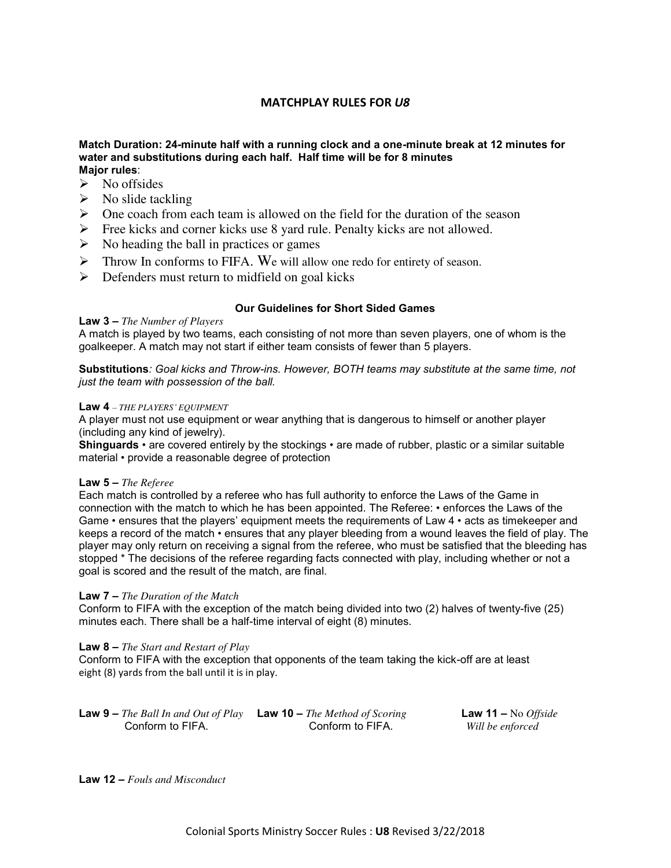# **MATCHPLAY RULES FOR** *U8*

### **Match Duration: 24-minute half with a running clock and a one-minute break at 12 minutes for water and substitutions during each half. Half time will be for 8 minutes Major rules**:

- $\triangleright$  No offsides
- $\triangleright$  No slide tackling
- $\triangleright$  One coach from each team is allowed on the field for the duration of the season
- $\triangleright$  Free kicks and corner kicks use 8 yard rule. Penalty kicks are not allowed.
- $\triangleright$  No heading the ball in practices or games
- $\triangleright$  Throw In conforms to FIFA. We will allow one redo for entirety of season.
- $\triangleright$  Defenders must return to midfield on goal kicks

# **Our Guidelines for Short Sided Games**

### **Law 3 –** *The Number of Players*

A match is played by two teams, each consisting of not more than seven players, one of whom is the goalkeeper. A match may not start if either team consists of fewer than 5 players.

**Substitutions***: Goal kicks and Throw-ins. However, BOTH teams may substitute at the same time, not just the team with possession of the ball.*

### **Law 4** *– THE PLAYERS' EQUIPMENT*

A player must not use equipment or wear anything that is dangerous to himself or another player (including any kind of jewelry).

**Shinguards** • are covered entirely by the stockings • are made of rubber, plastic or a similar suitable material • provide a reasonable degree of protection

## **Law 5 –** *The Referee*

Each match is controlled by a referee who has full authority to enforce the Laws of the Game in connection with the match to which he has been appointed. The Referee: • enforces the Laws of the Game • ensures that the players' equipment meets the requirements of Law 4 • acts as timekeeper and keeps a record of the match • ensures that any player bleeding from a wound leaves the field of play. The player may only return on receiving a signal from the referee, who must be satisfied that the bleeding has stopped \* The decisions of the referee regarding facts connected with play, including whether or not a goal is scored and the result of the match, are final.

## **Law 7 –** *The Duration of the Match*

Conform to FIFA with the exception of the match being divided into two (2) halves of twenty-five (25) minutes each. There shall be a half-time interval of eight (8) minutes.

## **Law 8 –** *The Start and Restart of Play*

Conform to FIFA with the exception that opponents of the team taking the kick-off are at least eight (8) yards from the ball until it is in play.

| <b>Law 9</b> – The Ball In and Out of Play <b>Law 10</b> – The Method of Scoring |                  | <b>Law 11 –</b> No <i>Offside</i> |
|----------------------------------------------------------------------------------|------------------|-----------------------------------|
| Conform to FIFA.                                                                 | Conform to FIFA. | Will be enforced                  |

**Law 12 –** *Fouls and Misconduct*